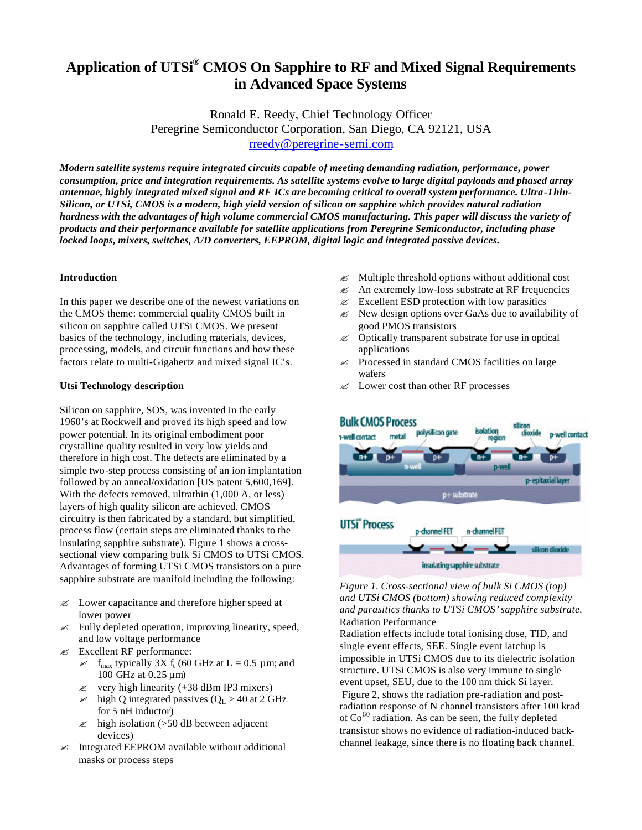# **Application of UTSi® CMOS On Sapphire to RF and Mixed Signal Requirements in Advanced Space Systems**

Ronald E. Reedy, Chief Technology Officer Peregrine Semiconductor Corporation, San Diego, CA 92121, USA rreedy@peregrine-semi.com

*Modern satellite systems require integrated circuits capable of meeting demanding radiation, performance, power consumption, price and integration requirements. As satellite systems evolve to large digital payloads and phased array antennae, highly integrated mixed signal and RF ICs are becoming critical to overall system performance. Ultra-Thin-Silicon, or UTSi, CMOS is a modern, high yield version of silicon on sapphire which provides natural radiation hardness with the advantages of high volume commercial CMOS manufacturing. This paper will discuss the variety of products and their performance available for satellite applications from Peregrine Semiconductor, including phase locked loops, mixers, switches, A/D converters, EEPROM, digital logic and integrated passive devices.*

### **Introduction**

In this paper we describe one of the newest variations on the CMOS theme: commercial quality CMOS built in silicon on sapphire called UTSi CMOS. We present basics of the technology, including materials, devices, processing, models, and circuit functions and how these factors relate to multi-Gigahertz and mixed signal IC's.

## **Utsi Technology description**

Silicon on sapphire, SOS, was invented in the early 1960's at Rockwell and proved its high speed and low power potential. In its original embodiment poor crystalline quality resulted in very low yields and therefore in high cost. The defects are eliminated by a simple two-step process consisting of an ion implantation followed by an anneal/oxidation [US patent 5,600,169]. With the defects removed, ultrathin (1,000 A, or less) layers of high quality silicon are achieved. CMOS circuitry is then fabricated by a standard, but simplified, process flow (certain steps are eliminated thanks to the insulating sapphire substrate). Figure 1 shows a crosssectional view comparing bulk Si CMOS to UTSi CMOS. Advantages of forming UTSi CMOS transistors on a pure sapphire substrate are manifold including the following:

- $\mathscr{L}$  Lower capacitance and therefore higher speed at lower power
- $\mathscr{L}$  Fully depleted operation, improving linearity, speed, and low voltage performance
- $\mathscr{\mathscr{E}}$  Excellent RF performance:
	- $\mathcal{L}$  f<sub>max</sub> typically 3X f<sub>t</sub> (60 GHz at L = 0.5 µm; and 100 GHz at 0.25 µm)
	- $\approx$  very high linearity (+38 dBm IP3 mixers)
	- $\approx$  high Q integrated passives ( $Q_L > 40$  at 2 GHz for 5 nH inductor)
	- $\approx$  high isolation (>50 dB between adjacent devices)
- $\mathscr{L}$  Integrated EEPROM available without additional masks or process steps
- $\mathscr{L}$  Multiple threshold options without additional cost
- $\&\times$  An extremely low-loss substrate at RF frequencies
- $\approx$  Excellent ESD protection with low parasitics
- $\mathscr{L}$  New design options over GaAs due to availability of good PMOS transistors
- $\mathscr{A}$  Optically transparent substrate for use in optical applications
- $\mathscr E$  Processed in standard CMOS facilities on large wafers
- $\mathcal{L}$  Lower cost than other RF processes



*Figure 1. Cross-sectional view of bulk Si CMOS (top) and UTSi CMOS (bottom) showing reduced complexity and parasitics thanks to UTSi CMOS' sapphire substrate.* Radiation Performance

Radiation effects include total ionising dose, TID, and single event effects, SEE. Single event latchup is impossible in UTSi CMOS due to its dielectric isolation structure. UTSi CMOS is also very immune to single event upset, SEU, due to the 100 nm thick Si layer. Figure 2, shows the radiation pre-radiation and postradiation response of N channel transistors after 100 krad of  $Co<sup>60</sup>$  radiation. As can be seen, the fully depleted transistor shows no evidence of radiation-induced backchannel leakage, since there is no floating back channel.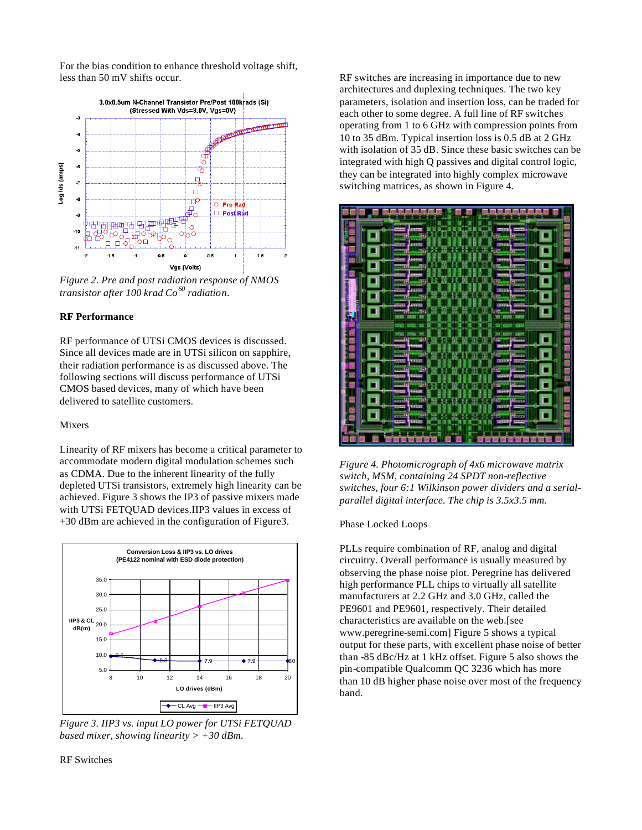For the bias condition to enhance threshold voltage shift, less than 50 mV shifts occur.



*Figure 2. Pre and post radiation response of NMOS transistor after 100 krad Co<sup>60</sup> radiation.*

# **RF Performance**

RF performance of UTSi CMOS devices is discussed. Since all devices made are in UTSi silicon on sapphire, their radiation performance is as discussed above. The following sections will discuss performance of UTSi CMOS based devices, many of which have been delivered to satellite customers.

#### Mixers

Linearity of RF mixers has become a critical parameter to accommodate modern digital modulation schemes such as CDMA. Due to the inherent linearity of the fully depleted UTSi transistors, extremely high linearity can be achieved. Figure 3 shows the IP3 of passive mixers made with UTSi FETOUAD devices.IIP3 values in excess of +30 dBm are achieved in the configuration of Figure3.



*Figure 3. IIP3 vs. input LO power for UTSi FETQUAD based mixer, showing linearity > +30 dBm.*

RF switches are increasing in importance due to new architectures and duplexing techniques. The two key parameters, isolation and insertion loss, can be traded for each other to some degree. A full line of RF switches operating from 1 to 6 GHz with compression points from 10 to 35 dBm. Typical insertion loss is 0.5 dB at 2 GHz with isolation of 35 dB. Since these basic switches can be integrated with high Q passives and digital control logic, they can be integrated into highly complex microwave switching matrices, as shown in Figure 4.



*Figure 4. Photomicrograph of 4x6 microwave matrix switch, MSM, containing 24 SPDT non-reflective switches, four 6:1 Wilkinson power dividers and a serialparallel digital interface. The chip is 3.5x3.5 mm.*

#### Phase Locked Loops

PLLs require combination of RF, analog and digital circuitry. Overall performance is usually measured by observing the phase noise plot. Peregrine has delivered high performance PLL chips to virtually all satellite manufacturers at 2.2 GHz and 3.0 GHz, called the PE9601 and PE9601, respectively. Their detailed characteristics are available on the web.[see www.peregrine-semi.com] Figure 5 shows a typical output for these parts, with excellent phase noise of better than -85 dBc/Hz at 1 kHz offset. Figure 5 also shows the pin-compatible Qualcomm QC 3236 which has more than 10 dB higher phase noise over most of the frequency band.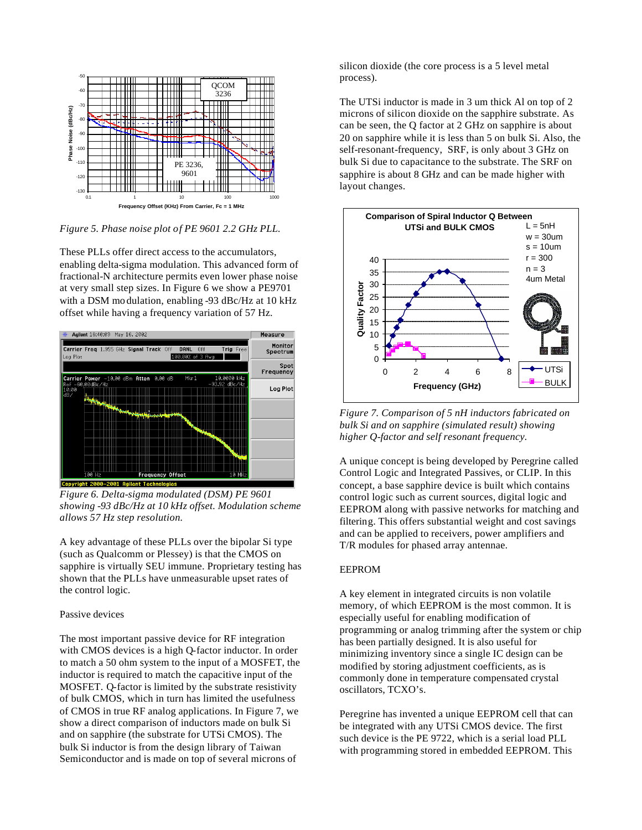

*Figure 5. Phase noise plot of PE 9601 2.2 GHz PLL.*

These PLLs offer direct access to the accumulators, enabling delta-sigma modulation. This advanced form of fractional-N architecture permits even lower phase noise at very small step sizes. In Figure 6 we show a PE9701 with a DSM mo dulation, enabling -93 dBc/Hz at 10 kHz offset while having a frequency variation of 57 Hz.



*Figure 6. Delta-sigma modulated (DSM) PE 9601 showing -93 dBc/Hz at 10 kHz offset. Modulation scheme allows 57 Hz step resolution.*

A key advantage of these PLLs over the bipolar Si type (such as Qualcomm or Plessey) is that the CMOS on sapphire is virtually SEU immune. Proprietary testing has shown that the PLLs have unmeasurable upset rates of the control logic.

#### Passive devices

The most important passive device for RF integration with CMOS devices is a high Q-factor inductor. In order to match a 50 ohm system to the input of a MOSFET, the inductor is required to match the capacitive input of the MOSFET. Q-factor is limited by the substrate resistivity of bulk CMOS, which in turn has limited the usefulness of CMOS in true RF analog applications. In Figure 7, we show a direct comparison of inductors made on bulk Si and on sapphire (the substrate for UTSi CMOS). The bulk Si inductor is from the design library of Taiwan Semiconductor and is made on top of several microns of

silicon dioxide (the core process is a 5 level metal process).

The UTSi inductor is made in 3 um thick Al on top of 2 microns of silicon dioxide on the sapphire substrate. As can be seen, the Q factor at 2 GHz on sapphire is about 20 on sapphire while it is less than 5 on bulk Si. Also, the self-resonant-frequency, SRF, is only about 3 GHz on bulk Si due to capacitance to the substrate. The SRF on sapphire is about 8 GHz and can be made higher with layout changes.



*Figure 7. Comparison of 5 nH inductors fabricated on bulk Si and on sapphire (simulated result) showing higher Q-factor and self resonant frequency.*

A unique concept is being developed by Peregrine called Control Logic and Integrated Passives, or CLIP. In this concept, a base sapphire device is built which contains control logic such as current sources, digital logic and EEPROM along with passive networks for matching and filtering. This offers substantial weight and cost savings and can be applied to receivers, power amplifiers and T/R modules for phased array antennae.

#### EEPROM

A key element in integrated circuits is non volatile memory, of which EEPROM is the most common. It is especially useful for enabling modification of programming or analog trimming after the system or chip has been partially designed. It is also useful for minimizing inventory since a single IC design can be modified by storing adjustment coefficients, as is commonly done in temperature compensated crystal oscillators, TCXO's.

Peregrine has invented a unique EEPROM cell that can be integrated with any UTSi CMOS device. The first such device is the PE 9722, which is a serial load PLL with programming stored in embedded EEPROM. This